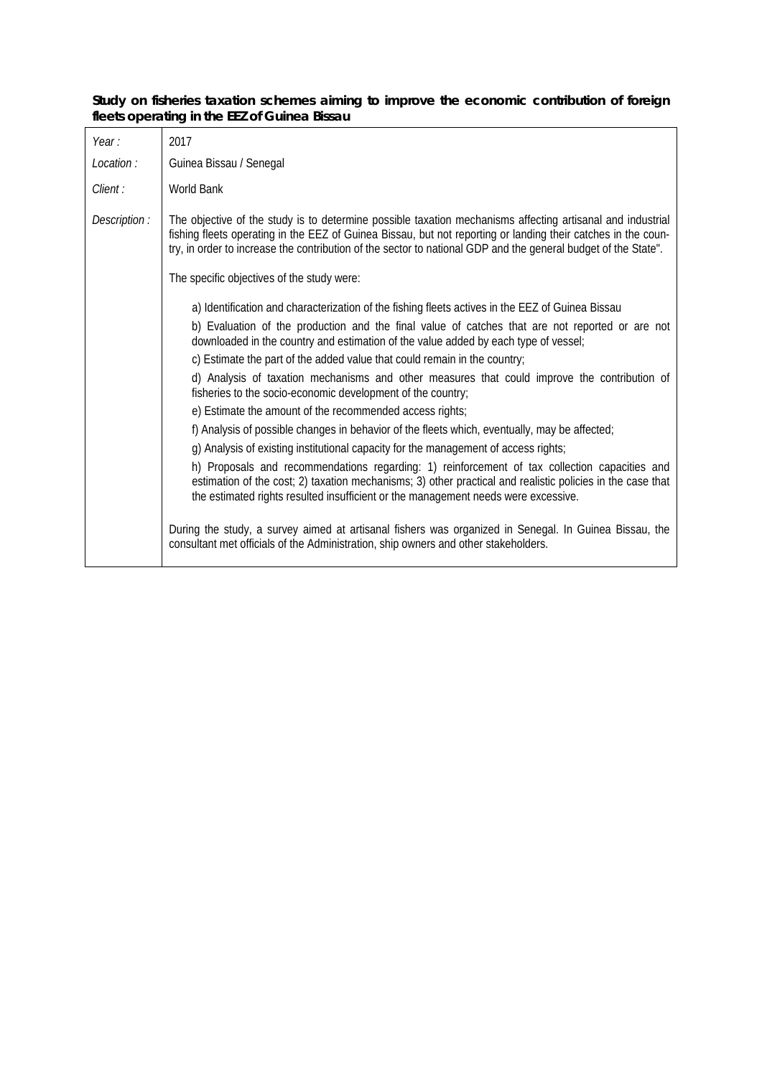|  |                                              |  |  | Study on fisheries taxation schemes aiming to improve the economic contribution of foreign |  |
|--|----------------------------------------------|--|--|--------------------------------------------------------------------------------------------|--|
|  | fleets operating in the EEZ of Guinea Bissau |  |  |                                                                                            |  |

| Year:         | 2017                                                                                                                                                                                                                                                                                                                                          |  |  |  |  |  |
|---------------|-----------------------------------------------------------------------------------------------------------------------------------------------------------------------------------------------------------------------------------------------------------------------------------------------------------------------------------------------|--|--|--|--|--|
| Location:     | Guinea Bissau / Senegal                                                                                                                                                                                                                                                                                                                       |  |  |  |  |  |
| Client :      | <b>World Bank</b>                                                                                                                                                                                                                                                                                                                             |  |  |  |  |  |
| Description : | The objective of the study is to determine possible taxation mechanisms affecting artisanal and industrial<br>fishing fleets operating in the EEZ of Guinea Bissau, but not reporting or landing their catches in the coun-<br>try, in order to increase the contribution of the sector to national GDP and the general budget of the State". |  |  |  |  |  |
|               | The specific objectives of the study were:                                                                                                                                                                                                                                                                                                    |  |  |  |  |  |
|               | a) Identification and characterization of the fishing fleets actives in the EEZ of Guinea Bissau                                                                                                                                                                                                                                              |  |  |  |  |  |
|               | b) Evaluation of the production and the final value of catches that are not reported or are not<br>downloaded in the country and estimation of the value added by each type of vessel;                                                                                                                                                        |  |  |  |  |  |
|               | c) Estimate the part of the added value that could remain in the country;                                                                                                                                                                                                                                                                     |  |  |  |  |  |
|               | d) Analysis of taxation mechanisms and other measures that could improve the contribution of<br>fisheries to the socio-economic development of the country;                                                                                                                                                                                   |  |  |  |  |  |
|               | e) Estimate the amount of the recommended access rights;                                                                                                                                                                                                                                                                                      |  |  |  |  |  |
|               | f) Analysis of possible changes in behavior of the fleets which, eventually, may be affected;                                                                                                                                                                                                                                                 |  |  |  |  |  |
|               | g) Analysis of existing institutional capacity for the management of access rights;                                                                                                                                                                                                                                                           |  |  |  |  |  |
|               | h) Proposals and recommendations regarding: 1) reinforcement of tax collection capacities and<br>estimation of the cost; 2) taxation mechanisms; 3) other practical and realistic policies in the case that<br>the estimated rights resulted insufficient or the management needs were excessive.                                             |  |  |  |  |  |
|               | During the study, a survey aimed at artisanal fishers was organized in Senegal. In Guinea Bissau, the<br>consultant met officials of the Administration, ship owners and other stakeholders.                                                                                                                                                  |  |  |  |  |  |